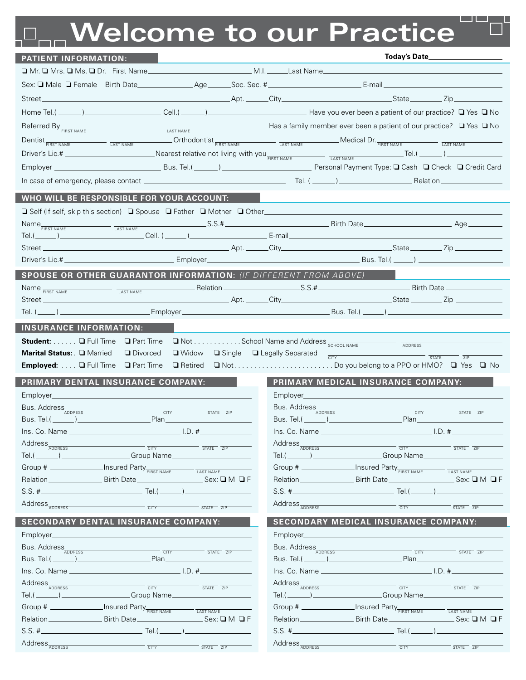## **Welcome to our Practice**

| <b>PATIENT INFORMATION:</b>                                                                                                                                                                                                                                                                                               | Today's Date____________                                                                                                                                                                                                                                                                                                           |
|---------------------------------------------------------------------------------------------------------------------------------------------------------------------------------------------------------------------------------------------------------------------------------------------------------------------------|------------------------------------------------------------------------------------------------------------------------------------------------------------------------------------------------------------------------------------------------------------------------------------------------------------------------------------|
|                                                                                                                                                                                                                                                                                                                           |                                                                                                                                                                                                                                                                                                                                    |
| Sex: <b>Q</b> Male Q Female Birth Date Age Soc. Sec. # Canada Content Content Content Content Content Content Content Content Content Content Content Content Content Content Content Content Content Content Content Content Conte                                                                                       |                                                                                                                                                                                                                                                                                                                                    |
| Street <sub>—</sub>                                                                                                                                                                                                                                                                                                       |                                                                                                                                                                                                                                                                                                                                    |
|                                                                                                                                                                                                                                                                                                                           |                                                                                                                                                                                                                                                                                                                                    |
| Referred By $F_{\overline{FIRST NAME}}$ This is the state of the state of $\overline{F}$ and $\overline{F}$ and $\overline{F}$ and $\overline{F}$ and $\overline{F}$ and $\overline{F}$ and $\overline{F}$ and $\overline{F}$ and $\overline{F}$ and $\overline{F}$ and $\overline{F}$ and $\overline{F}$ and $\overline$ |                                                                                                                                                                                                                                                                                                                                    |
| Dentist <sub>FIRST NAME</sub> THE TRANS TO THE TRANS THE TRANS THE TRANS THE TRANS TO THE TRANS TRANS TRANS TRANS TRANS TRANS TRANS TRANS TRANS TRANS TRANS TRANS TRANS TRANS TRANS TRANS TRANS TRANS TRANS TRANS TRANS TRANS TRANS TRAN                                                                                  |                                                                                                                                                                                                                                                                                                                                    |
|                                                                                                                                                                                                                                                                                                                           |                                                                                                                                                                                                                                                                                                                                    |
|                                                                                                                                                                                                                                                                                                                           |                                                                                                                                                                                                                                                                                                                                    |
|                                                                                                                                                                                                                                                                                                                           |                                                                                                                                                                                                                                                                                                                                    |
|                                                                                                                                                                                                                                                                                                                           |                                                                                                                                                                                                                                                                                                                                    |
| WHO WILL BE RESPONSIBLE FOR YOUR ACCOUNT:                                                                                                                                                                                                                                                                                 |                                                                                                                                                                                                                                                                                                                                    |
| □ Self (If self, skip this section) □ Spouse □ Father □ Mother □ Other_____________________________                                                                                                                                                                                                                       |                                                                                                                                                                                                                                                                                                                                    |
|                                                                                                                                                                                                                                                                                                                           |                                                                                                                                                                                                                                                                                                                                    |
|                                                                                                                                                                                                                                                                                                                           | and the City City Communication of the Communication of the Communication of the Communication of the Communication of the Communication of the Communication of the Communication of the Communication of the Communication o                                                                                                     |
|                                                                                                                                                                                                                                                                                                                           |                                                                                                                                                                                                                                                                                                                                    |
|                                                                                                                                                                                                                                                                                                                           |                                                                                                                                                                                                                                                                                                                                    |
| SPOUSE OR OTHER GUARANTOR INFORMATION: (IF DIFFERENT FROM ABOVE)                                                                                                                                                                                                                                                          |                                                                                                                                                                                                                                                                                                                                    |
| Name FIRST NAME <b>EXAMPLE AND TAST NAME</b> Relation <b>CONSERVERS</b> CONTINUES: S.S. # <b>S.S. # S.S. # S.S. # S.S. # S.S. # S.S. # S.S. # S.S. # S.S. # S.S. # S.S. # S.S. # S.S. # S.S. # S.S. # S.S. #</b><br>Street_                                                                                               |                                                                                                                                                                                                                                                                                                                                    |
|                                                                                                                                                                                                                                                                                                                           | _ Bus. Tel.( ______) _______________                                                                                                                                                                                                                                                                                               |
|                                                                                                                                                                                                                                                                                                                           |                                                                                                                                                                                                                                                                                                                                    |
| <b>INSURANCE INFORMATION:</b>                                                                                                                                                                                                                                                                                             |                                                                                                                                                                                                                                                                                                                                    |
| <b>Student:</b> $\ldots$ $\Box$ Full Time<br><b>Q</b> Part Time<br>Marital Status: <b>Q Married</b><br><b>Divorced</b><br>$\Box$ Widow                                                                                                                                                                                    | $\square$ Not School Name and Address $\frac{}{\text{SCHOOL NAME}}$<br>□ Single □ Legally Separated                                                                                                                                                                                                                                |
| Employed: Q Full Time<br>□ Part Time                                                                                                                                                                                                                                                                                      | $\overline{\text{CITY}}$<br>STATE<br>ZIP                                                                                                                                                                                                                                                                                           |
|                                                                                                                                                                                                                                                                                                                           |                                                                                                                                                                                                                                                                                                                                    |
| PRIMARY DENTAL INSURANCE COMPANY:                                                                                                                                                                                                                                                                                         | PRIMARY MEDICAL INSURANCE COMPANY:                                                                                                                                                                                                                                                                                                 |
|                                                                                                                                                                                                                                                                                                                           |                                                                                                                                                                                                                                                                                                                                    |
| Bus. Address<br>$T = T = T$<br>Plan and the contract of the contract of the contract of the contract of the contract of the contract of the contract of the contract of the contract of the contract of the contract of the contract of the contract of the c                                                             | Bus. Address<br>$\overline{CITY}$ $\overline{STATE}$ $\overline{ZIP}$<br>Bus. Tel.( and a series of the series of the series of the series of the series of the series of the series of the series of the series of the series of the series of the series of the series of the series of the series of<br>.Plan__________________ |
| $\ln S$ . Co. Name $\frac{1}{10}$ and $\frac{1}{10}$ and $\frac{1}{10}$ and $\frac{1}{10}$ and $\frac{1}{10}$ and $\frac{1}{10}$ and $\frac{1}{10}$ and $\frac{1}{10}$ and $\frac{1}{10}$ and $\frac{1}{10}$ and $\frac{1}{10}$ and $\frac{1}{10}$ and $\frac{1}{10}$ and $\frac{1}{10}$                                  | $\ln$ S Co Name $\ln$ $\ln$ $\frac{1}{2}$                                                                                                                                                                                                                                                                                          |
| Address <sub>ADDRESS</sub>                                                                                                                                                                                                                                                                                                | Address <sub>ADDRESS</sub>                                                                                                                                                                                                                                                                                                         |
| CITY<br>$STATF$ $7IP$<br><u>Same and School Charles Companishes and School Charles Charles and School Charles Charles Charles Charles Charles Charles Charles Charles Charles Charles Charles Charles Charles Charles Charles Charles Charles Charles Cha</u><br>Tel.( $\rule{1em}{0.15mm}$ )                             | <b>CITY</b><br>$-$ STATE $\overline{ZIP}$                                                                                                                                                                                                                                                                                          |
| Group # ________________Insured Party FIRST NAME<br><b>LAST NAME</b>                                                                                                                                                                                                                                                      | Group # ________________Insured Party FIRST NAME<br><b>TAST NAME</b>                                                                                                                                                                                                                                                               |
| Relation ________________________ Birth Date ____<br>$Sex: \Box M \Box F$                                                                                                                                                                                                                                                 | $\rule{1em}{0.15mm}$ $\lrcorner$ $\lrcorner$ $\lrcorner$ $\lrcorner$ $\lrcorner$ $\lrcorner$ $\lrcorner$ $\lrcorner$ $\lrcorner$                                                                                                                                                                                                   |
| $S.S.$ #<br>Tel.( $\_$                                                                                                                                                                                                                                                                                                    | Tel.( $\_\_$                                                                                                                                                                                                                                                                                                                       |
| Address <sub>ADDRESS</sub><br><b>CITY</b><br>STATE ZIP                                                                                                                                                                                                                                                                    | Address <sub>ADDRESS</sub><br><b>CITY</b><br>STATE ZIP                                                                                                                                                                                                                                                                             |
| <b>SECONDARY DENTAL INSURANCE COMPANY:</b>                                                                                                                                                                                                                                                                                | <b>SECONDARY MEDICAL INSURANCE COMPANY:</b>                                                                                                                                                                                                                                                                                        |
| Employer                                                                                                                                                                                                                                                                                                                  | Employer____                                                                                                                                                                                                                                                                                                                       |
| Bus. Address                                                                                                                                                                                                                                                                                                              | Bus. Address                                                                                                                                                                                                                                                                                                                       |
| <b>CITY</b><br>$\overline{\text{STATE}}$ $\overline{\text{ZIP}}$<br>Bus. Tel. $(\_\_\_\_\_)$<br>Plan__________________                                                                                                                                                                                                    | <b>CITY</b><br>STATE ZIP<br>.Plan_____________                                                                                                                                                                                                                                                                                     |
|                                                                                                                                                                                                                                                                                                                           |                                                                                                                                                                                                                                                                                                                                    |
| Address <sub>ADDRESS</sub><br><b>CITY</b><br>STATE ZIP                                                                                                                                                                                                                                                                    | Address <sub>ADDRESS</sub><br>CITY<br>STATE ZIP                                                                                                                                                                                                                                                                                    |
| Croup Name<br>Tel.(_______)                                                                                                                                                                                                                                                                                               | Tel.(________)_____________________Group Name___                                                                                                                                                                                                                                                                                   |
| Group # ________________ Insured Party FIRST NAME<br>LAST NAME                                                                                                                                                                                                                                                            | Group # _________________Insured Party FIRST NAME<br>LAST NAME                                                                                                                                                                                                                                                                     |
| Sex: $\square$ M $\square$ F                                                                                                                                                                                                                                                                                              | Sex: $\square$ M $\square$ F                                                                                                                                                                                                                                                                                                       |
| Tel.                                                                                                                                                                                                                                                                                                                      | Tel.(                                                                                                                                                                                                                                                                                                                              |
| Address <sub>ADDRESS</sub><br>T<br>STATE ZIP                                                                                                                                                                                                                                                                              | Address <sub>ADDRESS</sub><br><b>CITY</b><br>STATE ZIP                                                                                                                                                                                                                                                                             |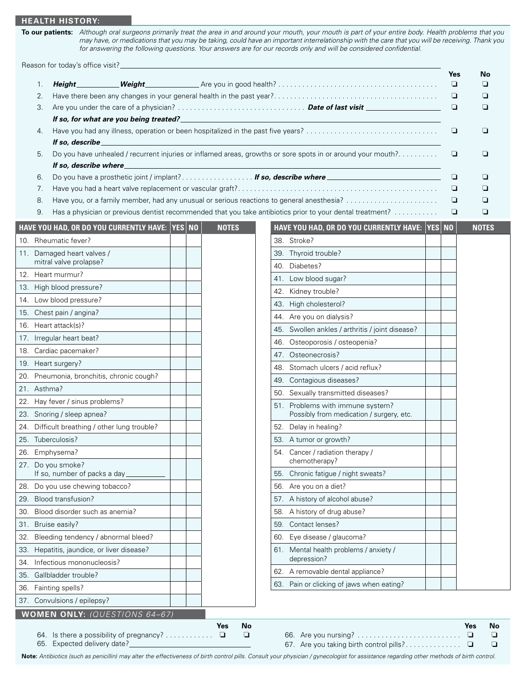## **Health history:**

**To our patients:** *Although oral surgeons primarily treat the area in and around your mouth, your mouth is part of your entire body. Health problems that you may have, or medications that you may be taking, could have an important interrelationship with the care that you will be receiving. Thank you for answering the following questions. Your answers are for our records only and will be considered confidential.*

Reason for today's office visit?

|     |             |                                                                         |  |                                 |                                                                                                             | Yes    | No                                               |
|-----|-------------|-------------------------------------------------------------------------|--|---------------------------------|-------------------------------------------------------------------------------------------------------------|--------|--------------------------------------------------|
|     | 1.          | Height_<br>Weight_                                                      |  |                                 |                                                                                                             | $\Box$ | ❏                                                |
|     | 2.          |                                                                         |  |                                 |                                                                                                             | ❏      | ❏                                                |
|     | 3.          | If so, for what are you being treated?                                  |  |                                 | <u> 1989 - Johann Barbara, martxa alemaniar amerikan baratzaren 1989 - Arteko Arabertzako hamarka</u>       | ❏      | ❏                                                |
|     | 4.          |                                                                         |  |                                 |                                                                                                             |        | ❏                                                |
|     |             | If so, describe                                                         |  |                                 |                                                                                                             |        |                                                  |
|     | 5.          | If so, describe where                                                   |  |                                 | Do you have unhealed / recurrent injuries or inflamed areas, growths or sore spots in or around your mouth? | ❏      | ❏                                                |
|     | 6.          | Do you have a prosthetic joint / implant? If so, describe where         |  |                                 |                                                                                                             | $\Box$ | ❏                                                |
|     | 7.          |                                                                         |  |                                 |                                                                                                             | $\Box$ | ❏                                                |
|     | 8.          |                                                                         |  |                                 | Have you, or a family member, had any unusual or serious reactions to general anesthesia?                   | ▫      | ⊔                                                |
|     | 9.          |                                                                         |  |                                 | Has a physician or previous dentist recommended that you take antibiotics prior to your dental treatment?   | $\Box$ | ❏                                                |
|     |             | HAVE YOU HAD, OR DO YOU CURRENTLY HAVE: YES NO                          |  | <b>NOTES</b>                    | HAVE YOU HAD, OR DO YOU CURRENTLY HAVE: YES NO                                                              |        | <b>NOTES</b>                                     |
|     |             | 10. Rheumatic fever?                                                    |  |                                 | 38. Stroke?                                                                                                 |        |                                                  |
|     |             | 11. Damaged heart valves /                                              |  |                                 | 39. Thyroid trouble?                                                                                        |        |                                                  |
|     |             | mitral valve prolapse?                                                  |  |                                 | 40. Diabetes?                                                                                               |        |                                                  |
|     |             | 12. Heart murmur?                                                       |  |                                 | 41. Low blood sugar?                                                                                        |        |                                                  |
|     |             | 13. High blood pressure?                                                |  |                                 | 42. Kidney trouble?                                                                                         |        |                                                  |
|     |             | 14. Low blood pressure?                                                 |  |                                 | 43. High cholesterol?                                                                                       |        |                                                  |
|     |             | 15. Chest pain / angina?                                                |  |                                 | 44. Are you on dialysis?                                                                                    |        |                                                  |
|     |             | 16. Heart attack(s)?                                                    |  |                                 | 45. Swollen ankles / arthritis / joint disease?                                                             |        |                                                  |
|     |             | 17. Irregular heart beat?                                               |  |                                 | Osteoporosis / osteopenia?<br>46.                                                                           |        |                                                  |
|     |             | 18. Cardiac pacemaker?                                                  |  |                                 | 47. Osteonecrosis?                                                                                          |        |                                                  |
|     |             | 19. Heart surgery?                                                      |  |                                 | 48. Stomach ulcers / acid reflux?                                                                           |        |                                                  |
|     |             | 20. Pneumonia, bronchitis, chronic cough?                               |  |                                 | 49. Contagious diseases?                                                                                    |        |                                                  |
|     | 21. Asthma? |                                                                         |  |                                 | 50. Sexually transmitted diseases?                                                                          |        |                                                  |
| 22. |             | Hay fever / sinus problems?                                             |  |                                 | 51. Problems with immune system?                                                                            |        |                                                  |
|     |             | 23. Snoring / sleep apnea?                                              |  |                                 | Possibly from medication / surgery, etc.                                                                    |        |                                                  |
| 24. |             | Difficult breathing / other lung trouble?                               |  |                                 | 52. Delay in healing?                                                                                       |        |                                                  |
|     |             | 25. Tuberculosis?                                                       |  |                                 | 53. A tumor or growth?                                                                                      |        |                                                  |
|     |             | 26. Emphysema?                                                          |  |                                 | 54. Cancer / radiation therapy /                                                                            |        |                                                  |
|     |             | 27. Do you smoke?<br>If so, number of packs a day_                      |  |                                 | chemotherapy?<br>Chronic fatigue / night sweats?<br>55.                                                     |        |                                                  |
| 28. |             | Do you use chewing tobacco?                                             |  |                                 | Are you on a diet?<br>56.                                                                                   |        |                                                  |
| 29. |             | Blood transfusion?                                                      |  |                                 | 57. A history of alcohol abuse?                                                                             |        |                                                  |
| 30. |             | Blood disorder such as anemia?                                          |  |                                 | 58. A history of drug abuse?                                                                                |        |                                                  |
|     |             | 31. Bruise easily?                                                      |  |                                 | Contact lenses?<br>59.                                                                                      |        |                                                  |
| 32. |             | Bleeding tendency / abnormal bleed?                                     |  |                                 | Eye disease / glaucoma?<br>60.                                                                              |        |                                                  |
|     |             | 33. Hepatitis, jaundice, or liver disease?                              |  |                                 | 61. Mental health problems / anxiety /                                                                      |        |                                                  |
| 34. |             | Infectious mononucleosis?                                               |  |                                 | depression?                                                                                                 |        |                                                  |
| 35. |             | Gallbladder trouble?                                                    |  |                                 | 62. A removable dental appliance?                                                                           |        |                                                  |
| 36. |             | Fainting spells?                                                        |  |                                 | 63. Pain or clicking of jaws when eating?                                                                   |        |                                                  |
|     |             | 37. Convulsions / epilepsy?                                             |  |                                 |                                                                                                             |        |                                                  |
|     |             |                                                                         |  |                                 |                                                                                                             |        |                                                  |
|     |             | WOMEN ONLY: (QUESTIONS 64-67)                                           |  |                                 |                                                                                                             |        |                                                  |
|     |             | 64. Is there a possibility of pregnancy?<br>65. Expected delivery date? |  | No<br><b>Yes</b><br>$\Box$<br>❏ | 67. Are you taking birth control pills?                                                                     |        | <b>No</b><br><b>Yes</b><br>$\Box$<br>❏<br>❏<br>❏ |

**Note:** *Antibiotics (such as penicillin) may alter the effectiveness of birth control pills. Consult your physician / gynecologist for assistance regarding other methods of birth control.*